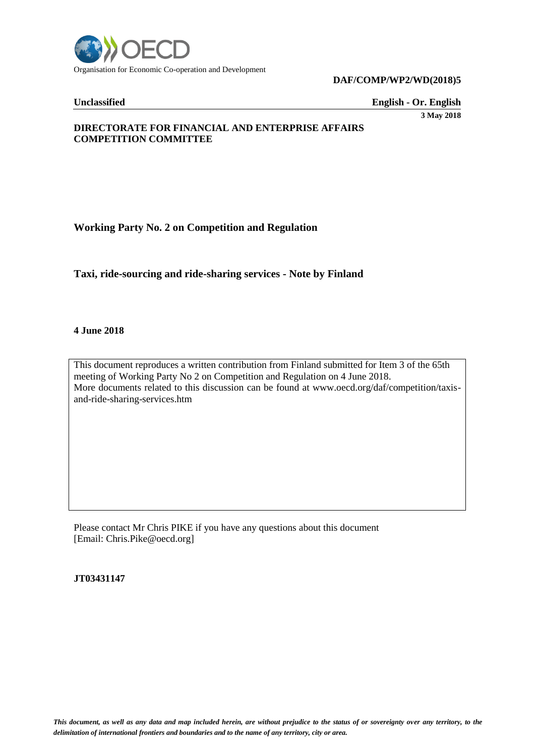

#### **DAF/COMP/WP2/WD(2018)5**

**Unclassified English - Or. English**

**3 May 2018**

# **DIRECTORATE FOR FINANCIAL AND ENTERPRISE AFFAIRS COMPETITION COMMITTEE**

# **Working Party No. 2 on Competition and Regulation**

**Taxi, ride-sourcing and ride-sharing services - Note by Finland**

#### **4 June 2018**

This document reproduces a written contribution from Finland submitted for Item 3 of the 65th meeting of Working Party No 2 on Competition and Regulation on 4 June 2018. More documents related to this discussion can be found at www.oecd.org/daf/competition/taxisand-ride-sharing-services.htm

Please contact Mr Chris PIKE if you have any questions about this document [Email: Chris.Pike@oecd.org]

**JT03431147**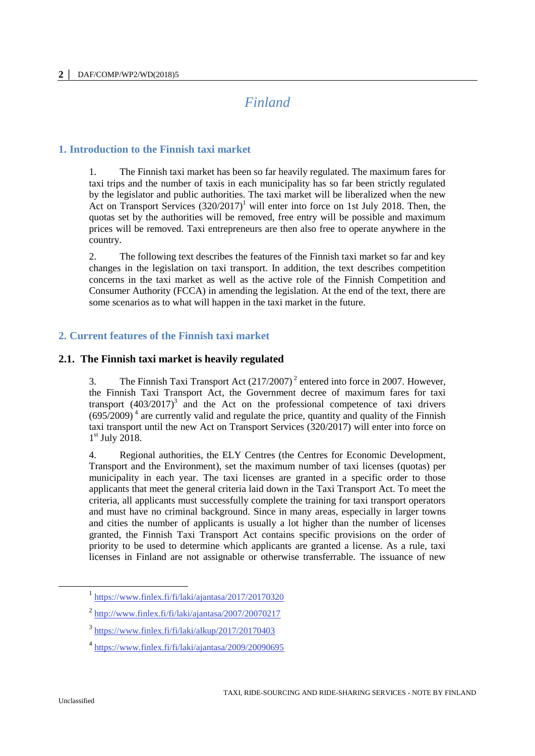# *Finland*

# **1. Introduction to the Finnish taxi market**

1. The Finnish taxi market has been so far heavily regulated. The maximum fares for taxi trips and the number of taxis in each municipality has so far been strictly regulated by the legislator and public authorities. The taxi market will be liberalized when the new Act on Transport Services  $(320/2017)^1$  will enter into force on 1st July 2018. Then, the quotas set by the authorities will be removed, free entry will be possible and maximum prices will be removed. Taxi entrepreneurs are then also free to operate anywhere in the country.

2. The following text describes the features of the Finnish taxi market so far and key changes in the legislation on taxi transport. In addition, the text describes competition concerns in the taxi market as well as the active role of the Finnish Competition and Consumer Authority (FCCA) in amending the legislation. At the end of the text, there are some scenarios as to what will happen in the taxi market in the future.

# **2. Current features of the Finnish taxi market**

# **2.1. The Finnish taxi market is heavily regulated**

3. The Finnish Taxi Transport Act  $(217/2007)^2$  entered into force in 2007. However, the Finnish Taxi Transport Act, the Government decree of maximum fares for taxi transport  $(403/2017)^3$  and the Act on the professional competence of taxi drivers  $(695/2009)^4$  are currently valid and regulate the price, quantity and quality of the Finnish taxi transport until the new Act on Transport Services (320/2017) will enter into force on 1<sup>st</sup> July 2018.

4. Regional authorities, the ELY Centres (the Centres for Economic Development, Transport and the Environment), set the maximum number of taxi licenses (quotas) per municipality in each year. The taxi licenses are granted in a specific order to those applicants that meet the general criteria laid down in the Taxi Transport Act. To meet the criteria, all applicants must successfully complete the training for taxi transport operators and must have no criminal background. Since in many areas, especially in larger towns and cities the number of applicants is usually a lot higher than the number of licenses granted, the Finnish Taxi Transport Act contains specific provisions on the order of priority to be used to determine which applicants are granted a license. As a rule, taxi licenses in Finland are not assignable or otherwise transferrable. The issuance of new

 $\overline{a}$ 

<sup>&</sup>lt;sup>1</sup> <https://www.finlex.fi/fi/laki/ajantasa/2017/20170320>

 $^2$  <http://www.finlex.fi/fi/laki/ajantasa/2007/20070217>

<sup>3</sup> <https://www.finlex.fi/fi/laki/alkup/2017/20170403>

<sup>4</sup> <https://www.finlex.fi/fi/laki/ajantasa/2009/20090695>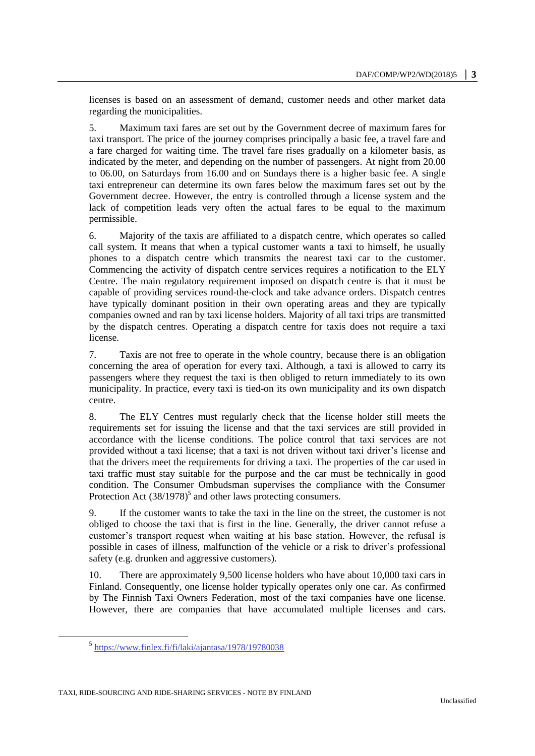licenses is based on an assessment of demand, customer needs and other market data regarding the municipalities.

5. Maximum taxi fares are set out by the Government decree of maximum fares for taxi transport. The price of the journey comprises principally a basic fee, a travel fare and a fare charged for waiting time. The travel fare rises gradually on a kilometer basis, as indicated by the meter, and depending on the number of passengers. At night from 20.00 to 06.00, on Saturdays from 16.00 and on Sundays there is a higher basic fee. A single taxi entrepreneur can determine its own fares below the maximum fares set out by the Government decree. However, the entry is controlled through a license system and the lack of competition leads very often the actual fares to be equal to the maximum permissible.

6. Majority of the taxis are affiliated to a dispatch centre, which operates so called call system. It means that when a typical customer wants a taxi to himself, he usually phones to a dispatch centre which transmits the nearest taxi car to the customer. Commencing the activity of dispatch centre services requires a notification to the ELY Centre. The main regulatory requirement imposed on dispatch centre is that it must be capable of providing services round-the-clock and take advance orders. Dispatch centres have typically dominant position in their own operating areas and they are typically companies owned and ran by taxi license holders. Majority of all taxi trips are transmitted by the dispatch centres. Operating a dispatch centre for taxis does not require a taxi license.

7. Taxis are not free to operate in the whole country, because there is an obligation concerning the area of operation for every taxi. Although, a taxi is allowed to carry its passengers where they request the taxi is then obliged to return immediately to its own municipality. In practice, every taxi is tied-on its own municipality and its own dispatch centre.

8. The ELY Centres must regularly check that the license holder still meets the requirements set for issuing the license and that the taxi services are still provided in accordance with the license conditions. The police control that taxi services are not provided without a taxi license; that a taxi is not driven without taxi driver's license and that the drivers meet the requirements for driving a taxi. The properties of the car used in taxi traffic must stay suitable for the purpose and the car must be technically in good condition. The Consumer Ombudsman supervises the compliance with the Consumer Protection Act  $(38/1978)^5$  and other laws protecting consumers.

9. If the customer wants to take the taxi in the line on the street, the customer is not obliged to choose the taxi that is first in the line. Generally, the driver cannot refuse a customer's transport request when waiting at his base station. However, the refusal is possible in cases of illness, malfunction of the vehicle or a risk to driver's professional safety (e.g. drunken and aggressive customers).

10. There are approximately 9,500 license holders who have about 10,000 taxi cars in Finland. Consequently, one license holder typically operates only one car. As confirmed by The Finnish Taxi Owners Federation, most of the taxi companies have one license. However, there are companies that have accumulated multiple licenses and cars.

 $\overline{a}$ 

<sup>&</sup>lt;sup>5</sup> <https://www.finlex.fi/fi/laki/ajantasa/1978/19780038>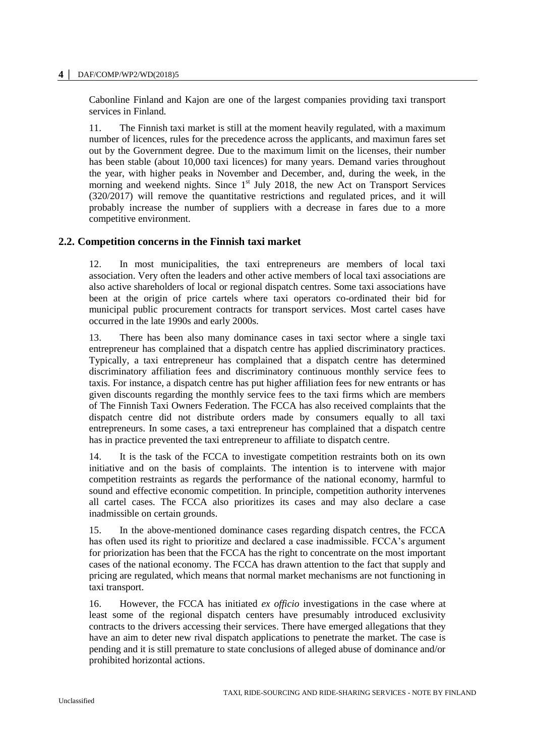#### **4 │** DAF/COMP/WP2/WD(2018)5

Cabonline Finland and Kajon are one of the largest companies providing taxi transport services in Finland.

11. The Finnish taxi market is still at the moment heavily regulated, with a maximum number of licences, rules for the precedence across the applicants, and maximun fares set out by the Government degree. Due to the maximum limit on the licenses, their number has been stable (about 10,000 taxi licences) for many years. Demand varies throughout the year, with higher peaks in November and December, and, during the week, in the morning and weekend nights. Since  $1<sup>st</sup>$  July 2018, the new Act on Transport Services (320/2017) will remove the quantitative restrictions and regulated prices, and it will probably increase the number of suppliers with a decrease in fares due to a more competitive environment.

### **2.2. Competition concerns in the Finnish taxi market**

12. In most municipalities, the taxi entrepreneurs are members of local taxi association. Very often the leaders and other active members of local taxi associations are also active shareholders of local or regional dispatch centres. Some taxi associations have been at the origin of price cartels where taxi operators co-ordinated their bid for municipal public procurement contracts for transport services. Most cartel cases have occurred in the late 1990s and early 2000s.

13. There has been also many dominance cases in taxi sector where a single taxi entrepreneur has complained that a dispatch centre has applied discriminatory practices. Typically, a taxi entrepreneur has complained that a dispatch centre has determined discriminatory affiliation fees and discriminatory continuous monthly service fees to taxis. For instance, a dispatch centre has put higher affiliation fees for new entrants or has given discounts regarding the monthly service fees to the taxi firms which are members of The Finnish Taxi Owners Federation. The FCCA has also received complaints that the dispatch centre did not distribute orders made by consumers equally to all taxi entrepreneurs. In some cases, a taxi entrepreneur has complained that a dispatch centre has in practice prevented the taxi entrepreneur to affiliate to dispatch centre.

14. It is the task of the FCCA to investigate competition restraints both on its own initiative and on the basis of complaints. The intention is to intervene with major competition restraints as regards the performance of the national economy, harmful to sound and effective economic competition. In principle, competition authority intervenes all cartel cases. The FCCA also prioritizes its cases and may also declare a case inadmissible on certain grounds.

15. In the above-mentioned dominance cases regarding dispatch centres, the FCCA has often used its right to prioritize and declared a case inadmissible. FCCA's argument for priorization has been that the FCCA has the right to concentrate on the most important cases of the national economy. The FCCA has drawn attention to the fact that supply and pricing are regulated, which means that normal market mechanisms are not functioning in taxi transport.

16. However, the FCCA has initiated *ex officio* investigations in the case where at least some of the regional dispatch centers have presumably introduced exclusivity contracts to the drivers accessing their services. There have emerged allegations that they have an aim to deter new rival dispatch applications to penetrate the market. The case is pending and it is still premature to state conclusions of alleged abuse of dominance and/or prohibited horizontal actions.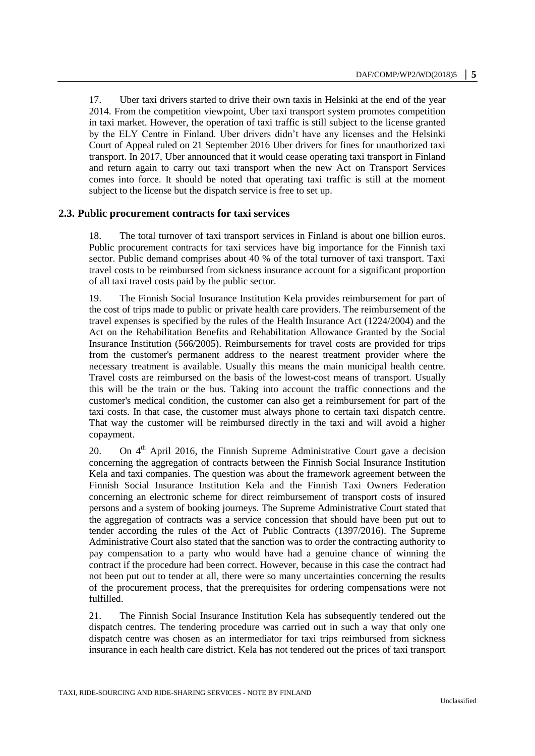17. Uber taxi drivers started to drive their own taxis in Helsinki at the end of the year 2014. From the competition viewpoint, Uber taxi transport system promotes competition in taxi market. However, the operation of taxi traffic is still subject to the license granted by the ELY Centre in Finland. Uber drivers didn't have any licenses and the Helsinki Court of Appeal ruled on 21 September 2016 Uber drivers for fines for unauthorized taxi transport. In 2017, Uber announced that it would cease operating taxi transport in Finland and return again to carry out taxi transport when the new Act on Transport Services comes into force. It should be noted that operating taxi traffic is still at the moment subject to the license but the dispatch service is free to set up.

### **2.3. Public procurement contracts for taxi services**

18. The total turnover of taxi transport services in Finland is about one billion euros. Public procurement contracts for taxi services have big importance for the Finnish taxi sector. Public demand comprises about 40 % of the total turnover of taxi transport. Taxi travel costs to be reimbursed from sickness insurance account for a significant proportion of all taxi travel costs paid by the public sector.

19. The Finnish Social Insurance Institution Kela provides reimbursement for part of the cost of trips made to public or private health care providers. The reimbursement of the travel expenses is specified by the rules of the Health Insurance Act (1224/2004) and the Act on the Rehabilitation Benefits and Rehabilitation Allowance Granted by the Social Insurance Institution (566/2005). Reimbursements for travel costs are provided for trips from the customer's permanent address to the nearest treatment provider where the necessary treatment is available. Usually this means the main municipal health centre. Travel costs are reimbursed on the basis of the lowest-cost means of transport. Usually this will be the train or the bus. Taking into account the traffic connections and the customer's medical condition, the customer can also get a reimbursement for part of the taxi costs. In that case, the customer must always phone to certain taxi dispatch centre. That way the customer will be reimbursed directly in the taxi and will avoid a higher copayment.

20. On  $4<sup>th</sup>$  April 2016, the Finnish Supreme Administrative Court gave a decision concerning the aggregation of contracts between the Finnish Social Insurance Institution Kela and taxi companies. The question was about the framework agreement between the Finnish Social Insurance Institution Kela and the Finnish Taxi Owners Federation concerning an electronic scheme for direct reimbursement of transport costs of insured persons and a system of booking journeys. The Supreme Administrative Court stated that the aggregation of contracts was a service concession that should have been put out to tender according the rules of the Act of Public Contracts (1397/2016). The Supreme Administrative Court also stated that the sanction was to order the contracting authority to pay compensation to a party who would have had a genuine chance of winning the contract if the procedure had been correct. However, because in this case the contract had not been put out to tender at all, there were so many uncertainties concerning the results of the procurement process, that the prerequisites for ordering compensations were not fulfilled.

21. The Finnish Social Insurance Institution Kela has subsequently tendered out the dispatch centres. The tendering procedure was carried out in such a way that only one dispatch centre was chosen as an intermediator for taxi trips reimbursed from sickness insurance in each health care district. Kela has not tendered out the prices of taxi transport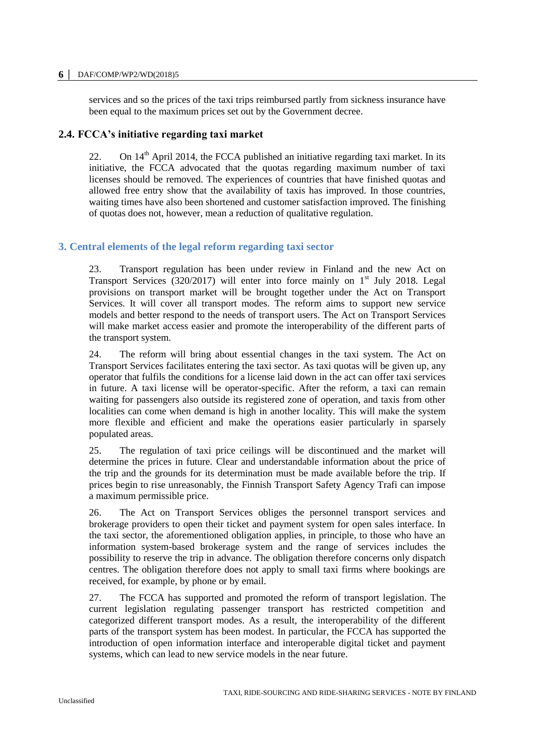#### **6 │** DAF/COMP/WP2/WD(2018)5

services and so the prices of the taxi trips reimbursed partly from sickness insurance have been equal to the maximum prices set out by the Government decree.

#### **2.4. FCCA's initiative regarding taxi market**

22. On  $14<sup>th</sup>$  April 2014, the FCCA published an initiative regarding taxi market. In its initiative, the FCCA advocated that the quotas regarding maximum number of taxi licenses should be removed. The experiences of countries that have finished quotas and allowed free entry show that the availability of taxis has improved. In those countries, waiting times have also been shortened and customer satisfaction improved. The finishing of quotas does not, however, mean a reduction of qualitative regulation.

### **3. Central elements of the legal reform regarding taxi sector**

23. Transport regulation has been under review in Finland and the new Act on Transport Services (320/2017) will enter into force mainly on  $1<sup>st</sup>$  July 2018. Legal provisions on transport market will be brought together under the Act on Transport Services. It will cover all transport modes. The reform aims to support new service models and better respond to the needs of transport users. The Act on Transport Services will make market access easier and promote the interoperability of the different parts of the transport system.

24. The reform will bring about essential changes in the taxi system. The Act on Transport Services facilitates entering the taxi sector. As taxi quotas will be given up, any operator that fulfils the conditions for a license laid down in the act can offer taxi services in future. A taxi license will be operator-specific. After the reform, a taxi can remain waiting for passengers also outside its registered zone of operation, and taxis from other localities can come when demand is high in another locality. This will make the system more flexible and efficient and make the operations easier particularly in sparsely populated areas.

25. The regulation of taxi price ceilings will be discontinued and the market will determine the prices in future. Clear and understandable information about the price of the trip and the grounds for its determination must be made available before the trip. If prices begin to rise unreasonably, the Finnish Transport Safety Agency Trafi can impose a maximum permissible price.

26. The Act on Transport Services obliges the personnel transport services and brokerage providers to open their ticket and payment system for open sales interface. In the taxi sector, the aforementioned obligation applies, in principle, to those who have an information system-based brokerage system and the range of services includes the possibility to reserve the trip in advance. The obligation therefore concerns only dispatch centres. The obligation therefore does not apply to small taxi firms where bookings are received, for example, by phone or by email.

27. The FCCA has supported and promoted the reform of transport legislation. The current legislation regulating passenger transport has restricted competition and categorized different transport modes. As a result, the interoperability of the different parts of the transport system has been modest. In particular, the FCCA has supported the introduction of open information interface and interoperable digital ticket and payment systems, which can lead to new service models in the near future.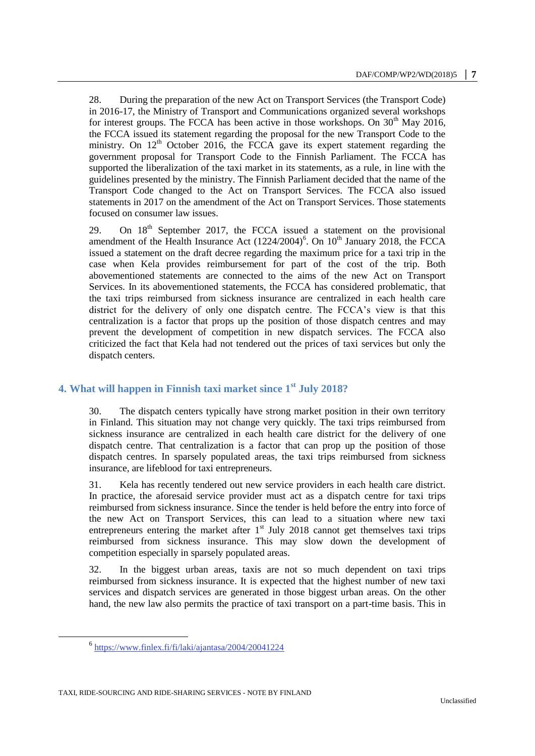28. During the preparation of the new Act on Transport Services (the Transport Code) in 2016-17, the Ministry of Transport and Communications organized several workshops for interest groups. The FCCA has been active in those workshops. On  $30<sup>th</sup>$  May 2016, the FCCA issued its statement regarding the proposal for the new Transport Code to the ministry. On  $12<sup>th</sup>$  October 2016, the FCCA gave its expert statement regarding the government proposal for Transport Code to the Finnish Parliament. The FCCA has supported the liberalization of the taxi market in its statements, as a rule, in line with the guidelines presented by the ministry. The Finnish Parliament decided that the name of the Transport Code changed to the Act on Transport Services. The FCCA also issued statements in 2017 on the amendment of the Act on Transport Services. Those statements focused on consumer law issues.

29. On 18<sup>th</sup> September 2017, the FCCA issued a statement on the provisional amendment of the Health Insurance Act  $(1224/2004)^6$ . On  $10^{th}$  January 2018, the FCCA issued a statement on the draft decree regarding the maximum price for a taxi trip in the case when Kela provides reimbursement for part of the cost of the trip. Both abovementioned statements are connected to the aims of the new Act on Transport Services. In its abovementioned statements, the FCCA has considered problematic, that the taxi trips reimbursed from sickness insurance are centralized in each health care district for the delivery of only one dispatch centre. The FCCA's view is that this centralization is a factor that props up the position of those dispatch centres and may prevent the development of competition in new dispatch services. The FCCA also criticized the fact that Kela had not tendered out the prices of taxi services but only the dispatch centers.

# **4. What will happen in Finnish taxi market since 1st July 2018?**

30. The dispatch centers typically have strong market position in their own territory in Finland. This situation may not change very quickly. The taxi trips reimbursed from sickness insurance are centralized in each health care district for the delivery of one dispatch centre. That centralization is a factor that can prop up the position of those dispatch centres. In sparsely populated areas, the taxi trips reimbursed from sickness insurance, are lifeblood for taxi entrepreneurs.

31. Kela has recently tendered out new service providers in each health care district. In practice, the aforesaid service provider must act as a dispatch centre for taxi trips reimbursed from sickness insurance. Since the tender is held before the entry into force of the new Act on Transport Services, this can lead to a situation where new taxi entrepreneurs entering the market after  $1<sup>st</sup>$  July 2018 cannot get themselves taxi trips reimbursed from sickness insurance. This may slow down the development of competition especially in sparsely populated areas.

32. In the biggest urban areas, taxis are not so much dependent on taxi trips reimbursed from sickness insurance. It is expected that the highest number of new taxi services and dispatch services are generated in those biggest urban areas. On the other hand, the new law also permits the practice of taxi transport on a part-time basis. This in

 $\overline{a}$ 

<sup>&</sup>lt;sup>6</sup> <https://www.finlex.fi/fi/laki/ajantasa/2004/20041224>